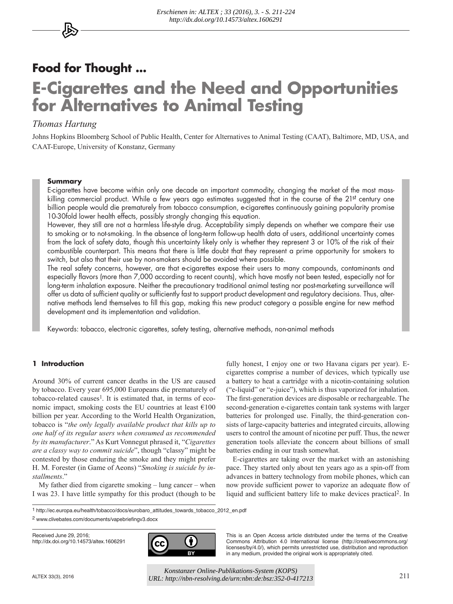# **Food for Thought ... E-Cigarettes and the Need and Opportunities for Alternatives to Animal Testing**

# *Thomas Hartung*

Johns Hopkins Bloomberg School of Public Health, Center for Alternatives to Animal Testing (CAAT), Baltimore, MD, USA, and CAAT-Europe, University of Konstanz, Germany

## **Summary**

E-cigarettes have become within only one decade an important commodity, changing the market of the most masskilling commercial product. While a few years ago estimates suggested that in the course of the 21st century one billion people would die prematurely from tobacco consumption, e-cigarettes continuously gaining popularity promise 10-30fold lower health effects, possibly strongly changing this equation.

However, they still are not a harmless life-style drug. Acceptability simply depends on whether we compare their use to smoking or to not-smoking. In the absence of long-term follow-up health data of users, additional uncertainty comes from the lack of safety data, though this uncertainty likely only is whether they represent 3 or 10% of the risk of their combustible counterpart. This means that there is little doubt that they represent a prime opportunity for smokers to switch, but also that their use by non-smokers should be avoided where possible.

The real safety concerns, however, are that e-cigarettes expose their users to many compounds, contaminants and especially flavors (more than 7,000 according to recent counts), which have mostly not been tested, especially not for long-term inhalation exposure. Neither the precautionary traditional animal testing nor post-marketing surveillance will offer us data of sufficient quality or sufficiently fast to support product development and regulatory decisions. Thus, alternative methods lend themselves to fill this gap, making this new product category a possible engine for new method development and its implementation and validation.

Keywords: tobacco, electronic cigarettes, safety testing, alternative methods, non-animal methods

# **1 Introduction**

Around 30% of current cancer deaths in the US are caused by tobacco. Every year 695,000 Europeans die prematurely of tobacco-related causes<sup>1</sup>. It is estimated that, in terms of economic impact, smoking costs the EU countries at least  $€100$ billion per year. According to the World Health Organization, tobacco is "*the only legally available product that kills up to one half of its regular users when consumed as recommended by its manufacturer*." As Kurt Vonnegut phrased it, "*Cigarettes are a classy way to commit suicide*", though "classy" might be contested by those enduring the smoke and they might prefer H. M. Forester (in Game of Aeons) "*Smoking is suicide by installments*."

My father died from cigarette smoking – lung cancer – when I was 23. I have little sympathy for this product (though to be

fully honest, I enjoy one or two Havana cigars per year). Ecigarettes comprise a number of devices, which typically use a battery to heat a cartridge with a nicotin-containing solution ("e-liquid" or "e-juice"), which is thus vaporized for inhalation. The first-generation devices are disposable or rechargeable. The second-generation e-cigarettes contain tank systems with larger batteries for prolonged use. Finally, the third-generation consists of large-capacity batteries and integrated circuits, allowing users to control the amount of nicotine per puff. Thus, the newer generation tools alleviate the concern about billions of small batteries ending in our trash somewhat.

E-cigarettes are taking over the market with an astonishing pace. They started only about ten years ago as a spin-off from advances in battery technology from mobile phones, which can now provide sufficient power to vaporize an adequate flow of liquid and sufficient battery life to make devices practical2. In

1 [http://ec.europa.eu/health/tobacco/docs/eurobaro\\_attitudes\\_towards\\_tobacco\\_2012\\_en.pdf](http://ec.europa.eu/health/tobacco/docs/eurobaro_attitudes_towards_tobacco_2012_en.pdf)

2 www.clivebates.com/documents/vapebriefingv3.docx

Received June 29, 2016; <http://dx.doi.org/10.14573/altex.1606291>



This is an Open Access article distributed under the terms of the Creative Commons Attribution 4.0 International license ([http://creativecommons.org/](http://creativecommons.org/licenses/by/4.0/) [licenses/by/4.0/\), w](http://creativecommons.org/licenses/by/4.0/)hich permits unrestricted use, distribution and reproduction in any medium, provided the original work is appropriately cited.

ALTEX 33(3), 2016 211 *UR[L: http://nbn-resolving.de/urn:nbn:de:bsz:352-0-41721](http://nbn-resolving.de/urn:nbn:de:bsz:352-0-417213)3Konstanzer Online-Publikations-System (KOPS)*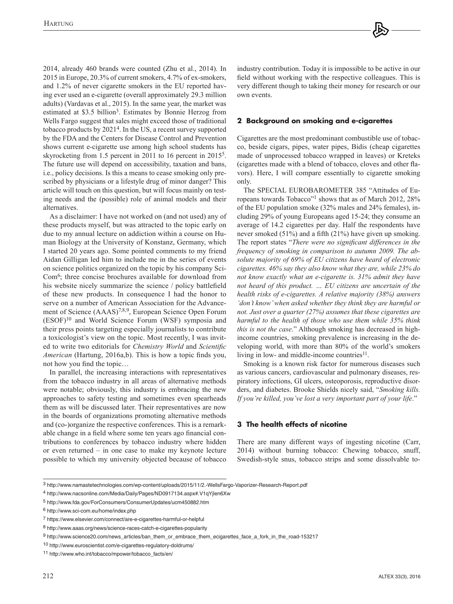2014, already 460 brands were counted (Zhu et al., 2014). In 2015 in Europe, 20.3% of current smokers, 4.7% of ex-smokers, and 1.2% of never cigarette smokers in the EU reported having ever used an e-cigarette (overall approximately 29.3 million adults) (Vardavas et al., 2015). In the same year, the market was estimated at \$3.5 billion<sup>3</sup>. Estimates by Bonnie Herzog from Wells Fargo suggest that sales might exceed those of traditional tobacco products by 20214. In the US, a recent survey supported by the FDA and the Centers for Disease Control and Prevention shows current e-cigarette use among high school students has skyrocketing from 1.5 percent in 2011 to 16 percent in 2015<sup>5</sup>. The future use will depend on accessibility, taxation and bans, i.e., policy decisions. Is this a means to cease smoking only prescribed by physicians or a lifestyle drug of minor danger? This article will touch on this question, but will focus mainly on testing needs and the (possible) role of animal models and their alternatives.

As a disclaimer: I have not worked on (and not used) any of these products myself, but was attracted to the topic early on due to my annual lecture on addiction within a course on Human Biology at the University of Konstanz, Germany, which I started 20 years ago. Some pointed comments to my friend Aidan Gilligan led him to include me in the series of events on science politics organized on the topic by his company Sci-Com6; three concise brochures available for download from his website nicely summarize the science / policy battlefield of these new products. In consequence I had the honor to serve on a number of American Association for the Advancement of Science (AAAS)<sup>7,8,9</sup>, European Science Open Forum (ESOF)10 and World Science Forum (WSF) symposia and their press points targeting especially journalists to contribute a toxicologist's view on the topic. Most recently, I was invited to write two editorials for *Chemistry World* and *Scientific American* (Hartung, 2016a,b). This is how a topic finds you, not how you find the topic…

In parallel, the increasing interactions with representatives from the tobacco industry in all areas of alternative methods were notable; obviously, this industry is embracing the new approaches to safety testing and sometimes even spearheads them as will be discussed later. Their representatives are now in the boards of organizations promoting alternative methods and (co-)organize the respective conferences. This is a remarkable change in a field where some ten years ago financial contributions to conferences by tobacco industry where hidden or even returned – in one case to make my keynote lecture possible to which my university objected because of tobacco

industry contribution. Today it is impossible to be active in our field without working with the respective colleagues. This is very different though to taking their money for research or our own events.

## **2 Background on smoking and e-cigarettes**

Cigarettes are the most predominant combustible use of tobacco, beside cigars, pipes, water pipes, Bidis (cheap cigarettes made of unprocessed tobacco wrapped in leaves) or Kreteks (cigarettes made with a blend of tobacco, cloves and other flavors). Here, I will compare essentially to cigarette smoking only.

The SPECIAL EUROBAROMETER 385 "Attitudes of Europeans towards Tobacco"1 shows that as of March 2012, 28% of the EU population smoke (32% males and 24% females), including 29% of young Europeans aged 15-24; they consume an average of 14.2 cigarettes per day. Half the respondents have never smoked (51%) and a fifth (21%) have given up smoking. The report states "*There were no significant differences in the frequency of smoking in comparison to autumn 2009. The absolute majority of 69% of EU citizens have heard of electronic cigarettes. 46% say they also know what they are, while 23% do not know exactly what an e-cigarette is. 31% admit they have not heard of this product. … EU citizens are uncertain of the health risks of e-cigarettes. A relative majority (38%) answers 'don't know' when asked whether they think they are harmful or not. Just over a quarter (27%) assumes that these cigarettes are harmful to the health of those who use them while 35% think this is not the case*." Although smoking has decreased in highincome countries, smoking prevalence is increasing in the developing world, with more than 80% of the world's smokers living in low- and middle-income countries<sup>11</sup>.

Smoking is a known risk factor for numerous diseases such as various cancers, cardiovascular and pulmonary diseases, respiratory infections, GI ulcers, osteoporosis, reproductive disorders, and diabetes. Brooke Shields nicely said, "*Smoking kills. If you're killed, you've lost a very important part of your life*."

# **3 The health effects of nicotine**

There are many different ways of ingesting nicotine (Carr, 2014) without burning tobacco: Chewing tobacco, snuff, Swedish-style snus, tobacco strips and some dissolvable to-

<sup>3</sup> <http://www.namastetechnologies.com/wp-content/uploads/2015/11/2.-WellsFargo-Vaporizer-Research-Report.pdf>

<sup>4</sup> <http://www.nacsonline.com/Media/Daily/Pages/ND0917134.aspx#.V1qYjlen6Xw>

<sup>5</sup> <http://www.fda.gov/ForConsumers/ConsumerUpdates/ucm450882.htm>

<sup>6</sup> <http://www.sci-com.eu/home/index.php>

<sup>7</sup> <https://www.elsevier.com/connect/are-e-cigarettes-harmful-or-helpful>

<sup>8</sup> <http://www.aaas.org/news/science-races-catch-e-cigarettes-popularity>

<sup>9</sup> [http://www.science20.com/news\\_articles/ban\\_them\\_or\\_embrace\\_them\\_ecigarettes\\_face\\_a\\_fork\\_in\\_the\\_road-153217](http://www.science20.com/news_articles/ban_them_or_embrace_them_ecigarettes_face_a_fork_in_the_road-153217)

<sup>10</sup><http://www.euroscientist.com/e-cigarettes-regulatory-doldrums/>

<sup>11</sup> [http://www.who.int/tobacco/mpower/tobacco\\_facts/en/](http://www.who.int/tobacco/mpower/tobacco_facts/en/)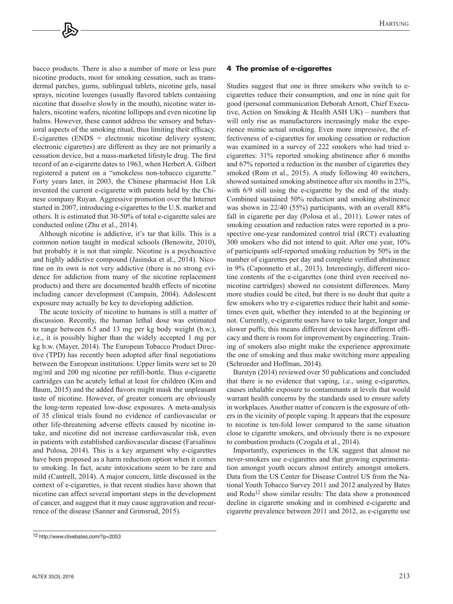bacco products. There is also a number of more or less pure nicotine products, most for smoking cessation, such as transdermal patches, gums, sublingual tablets, nicotine gels, nasal sprays, nicotine lozenges (usually flavored tablets containing nicotine that dissolve slowly in the mouth), nicotine water inhalers, nicotine wafers, nicotine lollipops and even nicotine lip balms. However, these cannot address the sensory and behavioral aspects of the smoking ritual, thus limiting their efficacy.  $E$ -cigarettes ( $ENDS =$  electronic nicotine delivery system; electronic cigarettes) are different as they are not primarily a cessation device, but a mass-marketed lifestyle drug. The first record of an e-cigarette dates to 1963, when Herbert A. Gilbert registered a patent on a "smokeless non-tobacco cigarette." Forty years later, in 2003, the Chinese pharmacist Hon Lik invented the current e-cigarette with patents held by the Chinese company Ruyan. Aggressive promotion over the Internet started in 2007, introducing e-cigarettes to the U.S. market and others. It is estimated that 30-50% of total e-cigarette sales are conducted online (Zhu et al., 2014).

Although nicotine is addictive, it's tar that kills. This is a common notion taught in medical schools (Benowitz, 2010), but probably it is not that simple. Nicotine is a psychoactive and highly addictive compound (Jasinska et al., 2014). Nicotine on its own is not very addictive (there is no strong evidence for addiction from many of the nicotine replacement products) and there are documented health effects of nicotine including cancer development (Campain, 2004). Adolescent exposure may actually be key to developing addiction.

The acute toxicity of nicotine to humans is still a matter of discussion. Recently, the human lethal dose was estimated to range between 6.5 and 13 mg per kg body weight (b.w.), i.e., it is possibly higher than the widely accepted 1 mg per kg b.w. (Mayer, 2014). The European Tobacco Product Directive (TPD) has recently been adopted after final negotiations between the European institutions: Upper limits were set to 20 mg/ml and 200 mg nicotine per refill-bottle. Thus e-cigarette cartridges can be acutely lethal at least for children (Kim and Baum, 2015) and the added flavors might mask the unpleasant taste of nicotine. However, of greater concern are obviously the long-term repeated low-dose exposures. A meta-analysis of 35 clinical trials found no evidence of cardiovascular or other life-threatening adverse effects caused by nicotine intake, and nicotine did not increase cardiovascular risk, even in patients with established cardiovascular disease (Farsalinos and Polosa, 2014). This is a key argument why e-cigarettes have been proposed as a harm reduction option when it comes to smoking. In fact, acute intoxications seem to be rare and mild (Cantrell, 2014). A major concern, little discussed in the context of e-cigarettes, is that recent studies have shown that nicotine can affect several important steps in the development of cancer, and suggest that it may cause aggravation and recurrence of the disease (Sanner and Grimsrud, 2015).

# **4 The promise of e-cigarettes**

Studies suggest that one in three smokers who switch to ecigarettes reduce their consumption, and one in nine quit for good (personal communication Deborah Arnott, Chief Executive, Action on Smoking & Health ASH UK) – numbers that will only rise as manufacturers increasingly make the experience mimic actual smoking. Even more impressive, the effectiveness of e-cigarettes for smoking cessation or reduction was examined in a survey of 222 smokers who had tried ecigarettes: 31% reported smoking abstinence after 6 months and 67% reported a reduction in the number of cigarettes they smoked (Rom et al., 2015). A study following 40 switchers, showed sustained smoking abstinence after six months in 23%, with 6/9 still using the e-cigarette by the end of the study. Combined sustained 50% reduction and smoking abstinence was shown in 22/40 (55%) participants, with an overall 88% fall in cigarette per day (Polosa et al., 2011). Lower rates of smoking cessation and reduction rates were reported in a prospective one-year randomized control trial (RCT) evaluating 300 smokers who did not intend to quit. After one year, 10% of participants self-reported smoking reduction by 50% in the number of cigarettes per day and complete verified abstinence in 9% (Caponnetto et al., 2013). Interestingly, different nicotine contents of the e-cigarettes (one third even received nonicotine cartridges) showed no consistent differences. Many more studies could be cited, but there is no doubt that quite a few smokers who try e-cigarettes reduce their habit and sometimes even quit, whether they intended to at the beginning or not. Currently, e-cigarette users have to take larger, longer and slower puffs; this means different devices have different efficacy and there is room for improvement by engineering. Training of smokers also might make the experience approximate the one of smoking and thus make switching more appealing (Schroeder and Hoffman, 2014).

Burstyn (2014) reviewed over 50 publications and concluded that there is no evidence that vaping, i.e., using e-cigarettes, causes inhalable exposure to contaminants at levels that would warrant health concerns by the standards used to ensure safety in workplaces. Another matter of concern is the exposure of others in the vicinity of people vaping. It appears that the exposure to nicotine is ten-fold lower compared to the same situation close to cigarette smokers, and obviously there is no exposure to combustion products (Czogala et al., 2014).

Importantly, experiences in the UK suggest that almost no never-smokers use e-cigarettes and that growing experimentation amongst youth occurs almost entirely amongst smokers. Data from the US Center for Disease Control US from the National Youth Tobacco Survey 2011 and 2012 analyzed by Bates and Rodu<sup>12</sup> show similar results: The data show a pronounced decline in cigarette smoking and in combined e-cigarette and cigarette prevalence between 2011 and 2012, as e-cigarette use

<sup>12</sup><http://www.clivebates.com/?p=2053>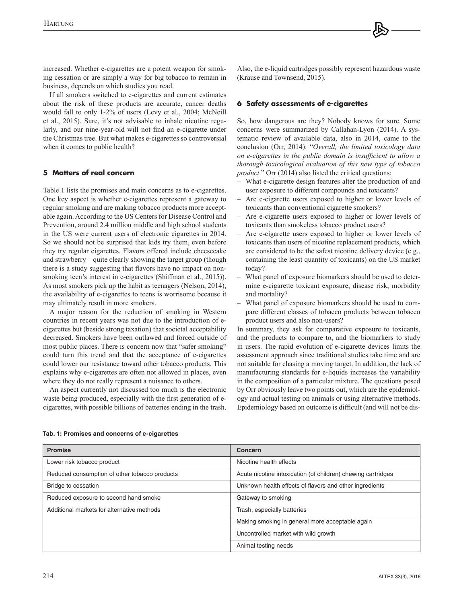increased. Whether e-cigarettes are a potent weapon for smoking cessation or are simply a way for big tobacco to remain in business, depends on which studies you read.

If all smokers switched to e-cigarettes and current estimates about the risk of these products are accurate, cancer deaths would fall to only 1-2% of users (Levy et al., 2004; McNeill et al., 2015). Sure, it's not advisable to inhale nicotine regularly, and our nine-year-old will not find an e-cigarette under the Christmas tree. But what makes e-cigarettes so controversial when it comes to public health?

## **5 Matters of real concern**

Table 1 lists the promises and main concerns as to e-cigarettes. One key aspect is whether e-cigarettes represent a gateway to regular smoking and are making tobacco products more acceptable again. According to the US Centers for Disease Control and Prevention, around 2.4 million middle and high school students in the US were current users of electronic cigarettes in 2014. So we should not be surprised that kids try them, even before they try regular cigarettes. Flavors offered include cheesecake and strawberry – quite clearly showing the target group (though there is a study suggesting that flavors have no impact on nonsmoking teen's interest in e-cigarettes (Shiffman et al., 2015)). As most smokers pick up the habit as teenagers (Nelson, 2014), the availability of e-cigarettes to teens is worrisome because it may ultimately result in more smokers.

A major reason for the reduction of smoking in Western countries in recent years was not due to the introduction of ecigarettes but (beside strong taxation) that societal acceptability decreased. Smokers have been outlawed and forced outside of most public places. There is concern now that "safer smoking" could turn this trend and that the acceptance of e-cigarettes could lower our resistance toward other tobacco products. This explains why e-cigarettes are often not allowed in places, even where they do not really represent a nuisance to others.

An aspect currently not discussed too much is the electronic waste being produced, especially with the first generation of ecigarettes, with possible billions of batteries ending in the trash. Also, the e-liquid cartridges possibly represent hazardous waste (Krause and Townsend, 2015).

# **6 Safety assessments of e-cigarettes**

So, how dangerous are they? Nobody knows for sure. Some concerns were summarized by Callahan-Lyon (2014). A systematic review of available data, also in 2014, came to the conclusion (Orr, 2014): "*Overall, the limited toxicology data on e-cigarettes in the public domain is insufficient to allow a thorough toxicological evaluation of this new type of tobacco product*." Orr (2014) also listed the critical questions:

- What e-cigarette design features alter the production of and user exposure to different compounds and toxicants?
- Are e-cigarette users exposed to higher or lower levels of toxicants than conventional cigarette smokers?
- Are e-cigarette users exposed to higher or lower levels of toxicants than smokeless tobacco product users?
- Are e-cigarette users exposed to higher or lower levels of toxicants than users of nicotine replacement products, which are considered to be the safest nicotine delivery device (e.g., containing the least quantity of toxicants) on the US market today?
- What panel of exposure biomarkers should be used to determine e-cigarette toxicant exposure, disease risk, morbidity and mortality?
- What panel of exposure biomarkers should be used to compare different classes of tobacco products between tobacco product users and also non-users?

In summary, they ask for comparative exposure to toxicants, and the products to compare to, and the biomarkers to study in users. The rapid evolution of e-cigarette devices limits the assessment approach since traditional studies take time and are not suitable for chasing a moving target. In addition, the lack of manufacturing standards for e-liquids increases the variability in the composition of a particular mixture. The questions posed by Orr obviously leave two points out, which are the epidemiology and actual testing on animals or using alternative methods. Epidemiology based on outcome is difficult (and will not be dis-

| <b>Promise</b>                                | Concern                                                      |
|-----------------------------------------------|--------------------------------------------------------------|
| Lower risk tobacco product                    | Nicotine health effects                                      |
| Reduced consumption of other tobacco products | Acute nicotine intoxication (of children) chewing cartridges |
| Bridge to cessation                           | Unknown health effects of flavors and other ingredients      |
| Reduced exposure to second hand smoke         | Gateway to smoking                                           |
| Additional markets for alternative methods    | Trash, especially batteries                                  |
|                                               | Making smoking in general more acceptable again              |
|                                               | Uncontrolled market with wild growth                         |
|                                               | Animal testing needs                                         |

#### **Tab. 1: Promises and concerns of e-cigarettes**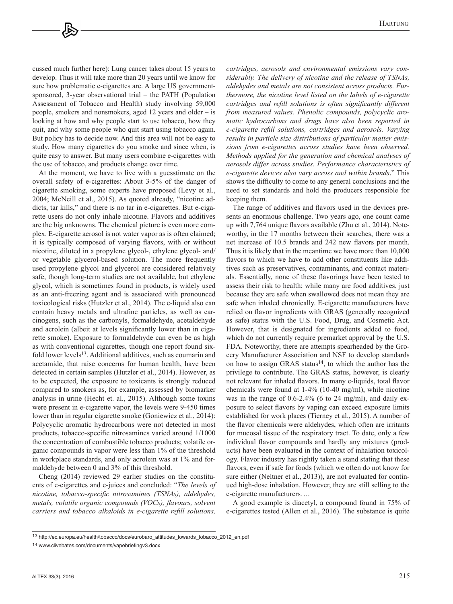cussed much further here): Lung cancer takes about 15 years to develop. Thus it will take more than 20 years until we know for sure how problematic e-cigarettes are. A large US governmentsponsored, 3-year observational trial – the PATH (Population Assessment of Tobacco and Health) study involving 59,000 people, smokers and nonsmokers, aged 12 years and older – is looking at how and why people start to use tobacco, how they quit, and why some people who quit start using tobacco again. But policy has to decide now. And this area will not be easy to study. How many cigarettes do you smoke and since when, is quite easy to answer. But many users combine e-cigarettes with the use of tobacco, and products change over time.

At the moment, we have to live with a guesstimate on the overall safety of e-cigarettes: About 3-5% of the danger of cigarette smoking, some experts have proposed (Levy et al., 2004; McNeill et al., 2015). As quoted already, "nicotine addicts, tar kills," and there is no tar in e-cigarettes. But e-cigarette users do not only inhale nicotine. Flavors and additives are the big unknowns. The chemical picture is even more complex. E-cigarette aerosol is not water vapor as is often claimed; it is typically composed of varying flavors, with or without nicotine, diluted in a propylene glycol-, ethylene glycol- and/ or vegetable glycerol-based solution. The more frequently used propylene glycol and glycerol are considered relatively safe, though long-term studies are not available, but ethylene glycol, which is sometimes found in products, is widely used as an anti-freezing agent and is associated with pronounced toxicological risks (Hutzler et al., 2014). The e-liquid also can contain heavy metals and ultrafine particles, as well as carcinogens, such as the carbonyls, formaldehyde, acetaldehyde and acrolein (albeit at levels significantly lower than in cigarette smoke). Exposure to formaldehyde can even be as high as with conventional cigarettes, though one report found sixfold lower levels<sup>13</sup>. Additional additives, such as coumarin and acetamide, that raise concerns for human health, have been detected in certain samples (Hutzler et al., 2014). However, as to be expected, the exposure to toxicants is strongly reduced compared to smokers as, for example, assessed by biomarker analysis in urine (Hecht et. al., 2015). Although some toxins were present in e-cigarette vapor, the levels were 9-450 times lower than in regular cigarette smoke (Goniewicz et al., 2014): Polycyclic aromatic hydrocarbons were not detected in most products, tobacco-specific nitrosamines varied around 1/1000 the concentration of combustible tobacco products; volatile organic compounds in vapor were less than 1% of the threshold in workplace standards, and only acrolein was at 1% and formaldehyde between 0 and 3% of this threshold.

Cheng (2014) reviewed 29 earlier studies on the constituents of e-cigarettes and e-juices and concluded: "*The levels of nicotine, tobacco-specific nitrosamines (TSNAs), aldehydes, metals, volatile organic compounds (VOCs), flavours, solvent carriers and tobacco alkaloids in e-cigarette refill solutions,* 

*cartridges, aerosols and environmental emissions vary considerably. The delivery of nicotine and the release of TSNAs, aldehydes and metals are not consistent across products. Furthermore, the nicotine level listed on the labels of e-cigarette cartridges and refill solutions is often significantly different from measured values. Phenolic compounds, polycyclic aromatic hydrocarbons and drugs have also been reported in e-cigarette refill solutions, cartridges and aerosols. Varying results in particle size distributions of particular matter emissions from e-cigarettes across studies have been observed. Methods applied for the generation and chemical analyses of aerosols differ across studies. Performance characteristics of e-cigarette devices also vary across and within brands*." This shows the difficulty to come to any general conclusions and the need to set standards and hold the producers responsible for keeping them.

The range of additives and flavors used in the devices presents an enormous challenge. Two years ago, one count came up with 7,764 unique flavors available (Zhu et al., 2014). Noteworthy, in the 17 months between their searches, there was a net increase of 10.5 brands and 242 new flavors per month. Thus it is likely that in the meantime we have more than 10,000 flavors to which we have to add other constituents like additives such as preservatives, contaminants, and contact materials. Essentially, none of these flavorings have been tested to assess their risk to health; while many are food additives, just because they are safe when swallowed does not mean they are safe when inhaled chronically. E-cigarette manufacturers have relied on flavor ingredients with GRAS (generally recognized as safe) status with the U.S. Food, Drug, and Cosmetic Act. However, that is designated for ingredients added to food, which do not currently require premarket approval by the U.S. FDA. Noteworthy, there are attempts spearheaded by the Grocery Manufacturer Association and NSF to develop standards on how to assign GRAS status<sup>14</sup>, to which the author has the privilege to contribute. The GRAS status, however, is clearly not relevant for inhaled flavors. In many e-liquids, total flavor chemicals were found at 1-4% (10-40 mg/ml), while nicotine was in the range of 0.6-2.4% (6 to 24 mg/ml), and daily exposure to select flavors by vaping can exceed exposure limits established for work places (Tierney et al., 2015). A number of the flavor chemicals were aldehydes, which often are irritants for mucosal tissue of the respiratory tract. To date, only a few individual flavor compounds and hardly any mixtures (products) have been evaluated in the context of inhalation toxicology. Flavor industry has rightly taken a stand stating that these flavors, even if safe for foods (which we often do not know for sure either (Neltner et al., 2013)), are not evaluated for continued high-dose inhalation. However, they are still selling to the e-cigarette manufacturers….

A good example is diacetyl, a compound found in 75% of e-cigarettes tested (Allen et al., 2016). The substance is quite

<sup>13</sup> [http://ec.europa.eu/health/tobacco/docs/eurobaro\\_attitudes\\_towards\\_tobacco\\_2012\\_en.pdf](http://ec.europa.eu/health/tobacco/docs/eurobaro_attitudes_towards_tobacco_2012_en.pdf)

<sup>14</sup><www.clivebates.com/documents/vapebriefingv3.docx>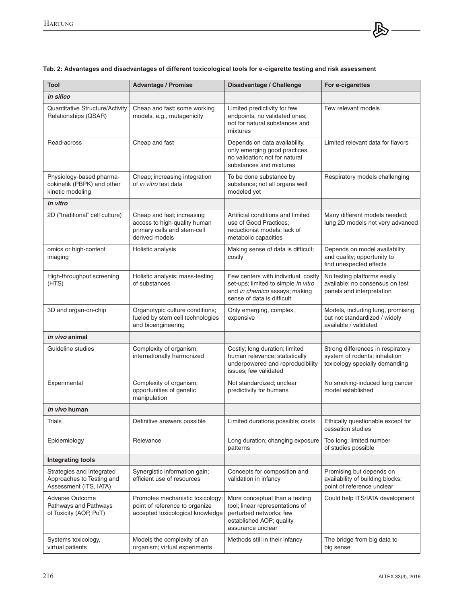| <b>Tool</b>                                                                      | <b>Advantage / Promise</b>                                                                                  | Disadvantage / Challenge                                                                                                                      | For e-cigarettes                                                                                     |
|----------------------------------------------------------------------------------|-------------------------------------------------------------------------------------------------------------|-----------------------------------------------------------------------------------------------------------------------------------------------|------------------------------------------------------------------------------------------------------|
| in silico                                                                        |                                                                                                             |                                                                                                                                               |                                                                                                      |
| Quantitative Structure/Activity<br>Relationships (QSAR)                          | Cheap and fast; some working<br>models, e.g., mutagenicity                                                  | Limited predictivity for few<br>endpoints, no validated ones;<br>not for natural substances and<br>mixtures                                   | Few relevant models                                                                                  |
| Read-across                                                                      | Cheap and fast                                                                                              | Depends on data availability,<br>only emerging good practices,<br>no validation; not for natural<br>substances and mixtures                   | Limited relevant data for flavors                                                                    |
| Physiology-based pharma-<br>cokinetik (PBPK) and other<br>kinetic modeling       | Cheap; increasing integration<br>of <i>in vitro</i> test data                                               | To be done substance by<br>substance; not all organs well<br>modeled yet                                                                      | Respiratory models challenging                                                                       |
| in vitro                                                                         |                                                                                                             |                                                                                                                                               |                                                                                                      |
| 2D ("traditional" cell culture)                                                  | Cheap and fast; increasing<br>access to high-quality human<br>primary cells and stem-cell<br>derived models | Artificial conditions and limited<br>use of Good Practices;<br>reductionist models; lack of<br>metabolic capacities                           | Many different models needed;<br>lung 2D models not very advanced                                    |
| omics or high-content<br>imaging                                                 | Holistic analysis                                                                                           | Making sense of data is difficult;<br>costly                                                                                                  | Depends on model availability<br>and quality; opportunity to<br>find unexpected effects              |
| High-throughput screening<br>(HTS)                                               | Holistic analysis; mass-testing<br>of substances                                                            | Few centers with individual, costly<br>set-ups; limited to simple in vitro<br>and in chemico assays; making<br>sense of data is difficult     | No testing platforms easily<br>available; no consensus on test<br>panels and interpretation          |
| 3D and organ-on-chip                                                             | Organotypic culture conditions;<br>fueled by stem cell technologies<br>and bioengineering                   | Only emerging, complex,<br>expensive                                                                                                          | Models, including lung, promising<br>but not standardized / widely<br>available / validated          |
| <i>in vivo</i> animal                                                            |                                                                                                             |                                                                                                                                               |                                                                                                      |
| Guideline studies                                                                | Complexity of organism;<br>internationally harmonized                                                       | Costly; long duration; limited<br>human relevance; statistically<br>underpowered and reproducibility<br>issues; few validated                 | Strong differences in respiratory<br>system of rodents; inhalation<br>toxicology specially demanding |
| Experimental                                                                     | Complexity of organism;<br>opportunities of genetic<br>manipulation                                         | Not standardized; unclear<br>predictivity for humans                                                                                          | No smoking-induced lung cancer<br>model established                                                  |
| in vivo human                                                                    |                                                                                                             |                                                                                                                                               |                                                                                                      |
| Trials                                                                           | Definitive answers possible                                                                                 | Limited durations possible; costs                                                                                                             | Ethically questionable except for<br>cessation studies                                               |
| Epidemiology                                                                     | Relevance                                                                                                   | Long duration; changing exposure<br>patterns                                                                                                  | Too long; limited number<br>of studies possible                                                      |
| <b>Integrating tools</b>                                                         |                                                                                                             |                                                                                                                                               |                                                                                                      |
| Strategies and Integrated<br>Approaches to Testing and<br>Assessment (ITS, IATA) | Synergistic information gain;<br>efficient use of resources                                                 | Concepts for composition and<br>validation in infancy                                                                                         | Promising but depends on<br>availability of building blocks;<br>point of reference unclear           |
| Adverse Outcome<br>Pathways and Pathways<br>of Toxicity (AOP, PoT)               | Promotes mechanistic toxicology;<br>point of reference to organize<br>accepted toxicological knowledge      | More conceptual than a testing<br>tool; linear representations of<br>perturbed networks; few<br>established AOP; quality<br>assurance unclear | Could help ITS/IATA development                                                                      |
| Systems toxicology,<br>virtual patients                                          | Models the complexity of an<br>organism; virtual experiments                                                | Methods still in their infancy                                                                                                                | The bridge from big data to<br>big sense                                                             |

## **Tab. 2: Advantages and disadvantages of different toxicological tools for e-cigarette testing and risk assessment**

伶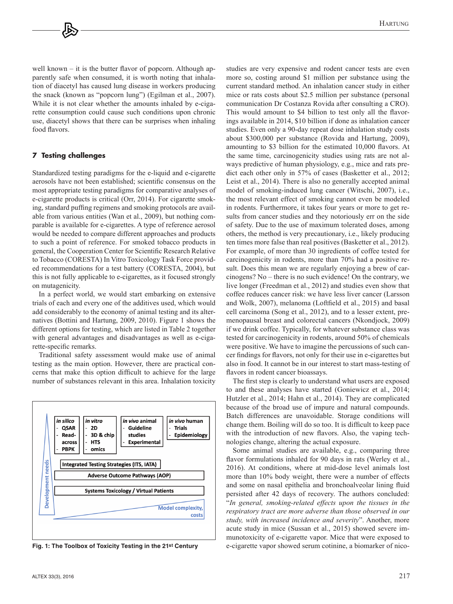well known – it is the butter flavor of popcorn. Although apparently safe when consumed, it is worth noting that inhalation of diacetyl has caused lung disease in workers producing the snack (known as "popcorn lung") (Egilman et al., 2007). While it is not clear whether the amounts inhaled by e-cigarette consumption could cause such conditions upon chronic use, diacetyl shows that there can be surprises when inhaling food flavors.

### **7 Testing challenges**

Standardized testing paradigms for the e-liquid and e-cigarette aerosols have not been established; scientific consensus on the most appropriate testing paradigms for comparative analyses of e-cigarette products is critical (Orr, 2014). For cigarette smoking, standard puffing regimens and smoking protocols are available from various entities (Wan et al., 2009), but nothing comparable is available for e-cigarettes. A type of reference aerosol would be needed to compare different approaches and products to such a point of reference. For smoked tobacco products in general, the Cooperation Center for Scientific Research Relative to Tobacco (CORESTA) In Vitro Toxicology Task Force provided recommendations for a test battery (CORESTA, 2004), but this is not fully applicable to e-cigarettes, as it focused strongly on mutagenicity.

In a perfect world, we would start embarking on extensive trials of each and every one of the additives used, which would add considerably to the economy of animal testing and its alternatives (Bottini and Hartung, 2009, 2010). Figure 1 shows the different options for testing, which are listed in Table 2 together with general advantages and disadvantages as well as e-cigarette-specific remarks.

Traditional safety assessment would make use of animal testing as the main option. However, there are practical concerns that make this option difficult to achieve for the large number of substances relevant in this area. Inhalation toxicity



**Fig. 1: The Toolbox of Toxicity Testing in the 21st Century**

more so, costing around \$1 million per substance using the current standard method. An inhalation cancer study in either mice or rats costs about \$2.5 million per substance (personal communication Dr Costanza Rovida after consulting a CRO). This would amount to \$4 billion to test only all the flavorings available in 2014, \$10 billion if done as inhalation cancer studies. Even only a 90-day repeat dose inhalation study costs about \$300,000 per substance (Rovida and Hartung, 2009), amounting to \$3 billion for the estimated 10,000 flavors. At the same time, carcinogenicity studies using rats are not always predictive of human physiology, e.g., mice and rats predict each other only in 57% of cases (Basketter et al., 2012; Leist et al., 2014). There is also no generally accepted animal model of smoking-induced lung cancer (Witschi, 2007), i.e., the most relevant effect of smoking cannot even be modeled in rodents. Furthermore, it takes four years or more to get results from cancer studies and they notoriously err on the side of safety. Due to the use of maximum tolerated doses, among others, the method is very precautionary, i.e., likely producing ten times more false than real positives (Basketter et al., 2012). For example, of more than 30 ingredients of coffee tested for carcinogenicity in rodents, more than 70% had a positive result. Does this mean we are regularly enjoying a brew of carcinogens? No – there is no such evidence! On the contrary, we live longer (Freedman et al., 2012) and studies even show that coffee reduces cancer risk: we have less liver cancer (Larsson and Wolk, 2007), melanoma (Loftfield et al., 2015) and basal cell carcinoma (Song et al., 2012), and to a lesser extent, premenopausal breast and colorectal cancers (Nkondjock, 2009) if we drink coffee. Typically, for whatever substance class was tested for carcinogenicity in rodents, around 50% of chemicals were positive. We have to imagine the percussions of such cancer findings for flavors, not only for their use in e-cigarettes but also in food. It cannot be in our interest to start mass-testing of flavors in rodent cancer bioassays.

studies are very expensive and rodent cancer tests are even

The first step is clearly to understand what users are exposed to and these analyses have started (Goniewicz et al., 2014; Hutzler et al., 2014; Hahn et al., 2014). They are complicated because of the broad use of impure and natural compounds. Batch differences are unavoidable. Storage conditions will change them. Boiling will do so too. It is difficult to keep pace with the introduction of new flavors. Also, the vaping technologies change, altering the actual exposure.

Some animal studies are available, e.g., comparing three flavor formulations inhaled for 90 days in rats (Werley et al., 2016). At conditions, where at mid-dose level animals lost more than 10% body weight, there were a number of effects and some on nasal epithelia and bronchoalveolar lining fluid persisted after 42 days of recovery. The authors concluded: "*In general, smoking-related effects upon the tissues in the respiratory tract are more adverse than those observed in our study, with increased incidence and severity*". Another, more acute study in mice (Sussan et al., 2015) showed severe immunotoxicity of e-cigarette vapor. Mice that were exposed to e-cigarette vapor showed serum cotinine, a biomarker of nico-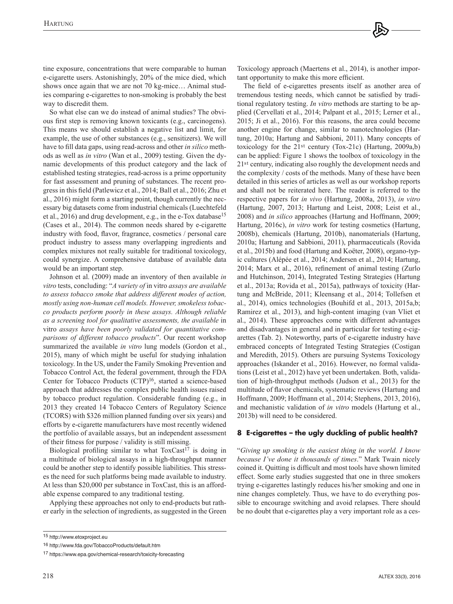tine exposure, concentrations that were comparable to human e-cigarette users. Astonishingly, 20% of the mice died, which shows once again that we are not 70 kg-mice… Animal studies comparing e-cigarettes to non-smoking is probably the best way to discredit them.

So what else can we do instead of animal studies? The obvious first step is removing known toxicants (e.g., carcinogens). This means we should establish a negative list and limit, for example, the use of other substances (e.g., sensitizers). We will have to fill data gaps, using read-across and other *in silico* methods as well as *in vitro* (Wan et al., 2009) testing. Given the dynamic developments of this product category and the lack of established testing strategies, read-across is a prime opportunity for fast assessment and pruning of substances. The recent progress in this field (Patlewicz et al., 2014; Ball et al., 2016; Zhu et al., 2016) might form a starting point, though currently the necessary big datasets come from industrial chemicals (Luechtefeld et al., 2016) and drug development, e.g., in the e-Tox database15 (Cases et al., 2014). The common needs shared by e-cigarette industry with food, flavor, fragrance, cosmetics / personal care product industry to assess many overlapping ingredients and complex mixtures not really suitable for traditional toxicology, could synergize. A comprehensive database of available data would be an important step.

Johnson et al. (2009) made an inventory of then available *in vitro* tests, concluding: "*A variety of* in vitro *assays are available to assess tobacco smoke that address different modes of action, mostly using non-human cell models. However, smokeless tobacco products perform poorly in these assays. Although reliable as a screening tool for qualitative assessments, the available* in vitro *assays have been poorly validated for quantitative comparisons of different tobacco products*". Our recent workshop summarized the available *in vitro* lung models (Gordon et al., 2015), many of which might be useful for studying inhalation toxicology. In the US, under the Family Smoking Prevention and Tobacco Control Act, the federal government, through the FDA Center for Tobacco Products (CTP)16, started a science-based approach that addresses the complex public health issues raised by tobacco product regulation. Considerable funding (e.g., in 2013 they created 14 Tobacco Centers of Regulatory Science (TCORS) with \$326 million planned funding over six years) and efforts by e-cigarette manufacturers have most recently widened the portfolio of available assays, but an independent assessment of their fitness for purpose / validity is still missing.

Biological profiling similar to what ToxCast<sup>17</sup> is doing in a multitude of biological assays in a high-throughput manner could be another step to identify possible liabilities. This stresses the need for such platforms being made available to industry. At less than \$20,000 per substance in ToxCast, this is an affordable expense compared to any traditional testing.

Applying these approaches not only to end-products but rather early in the selection of ingredients, as suggested in the Green Toxicology approach (Maertens et al., 2014), is another important opportunity to make this more efficient.

The field of e-cigarettes presents itself as another area of tremendous testing needs, which cannot be satisfied by traditional regulatory testing. *In vitro* methods are starting to be applied (Cervellati et al., 2014; Palpant et al., 2015; Lerner et al., 2015; Ji et al., 2016). For this reasons, the area could become another engine for change, similar to nanotechnologies (Hartung, 2010a; Hartung and Sabbioni, 2011). Many concepts of toxicology for the 21st century (Tox-21c) (Hartung, 2009a,b) can be applied: Figure 1 shows the toolbox of toxicology in the 21st century, indicating also roughly the development needs and the complexity / costs of the methods. Many of these have been detailed in this series of articles as well as our workshop reports and shall not be reiterated here. The reader is referred to the respective papers for *in vivo* (Hartung, 2008a, 2013), *in vitro* (Hartung, 2007, 2013; Hartung and Leist, 2008; Leist et al., 2008) and *in silico* approaches (Hartung and Hoffmann, 2009; Hartung, 2016c), *in vitro* work for testing cosmetics (Hartung, 2008b), chemicals (Hartung, 2010b), nanomaterials (Hartung, 2010a; Hartung and Sabbioni, 2011), pharmaceuticals (Rovida et al., 2015b) and food (Hartung and Koëter, 2008), organo-typic cultures (Alépée et al., 2014; Andersen et al., 2014; Hartung, 2014; Marx et al., 2016), refinement of animal testing (Zurlo and Hutchinson, 2014), Integrated Testing Strategies (Hartung et al., 2013a; Rovida et al., 2015a), pathways of toxicity (Hartung and McBride, 2011; Kleensang et al., 2014; Tollefsen et al., 2014), omics technologies (Bouhifd et al., 2013, 2015a,b; Ramirez et al., 2013), and high-content imaging (van Vliet et al., 2014). These approaches come with different advantages and disadvantages in general and in particular for testing e-cigarettes (Tab. 2). Noteworthy, parts of e-cigarette industry have embraced concepts of Integrated Testing Strategies (Costigan and Meredith, 2015). Others are pursuing Systems Toxicology approaches (Iskander et al., 2016). However, no formal validations (Leist et al., 2012) have yet been undertaken. Both, validation of high-throughput methods (Judson et al., 2013) for the multitude of flavor chemicals, systematic reviews (Hartung and Hoffmann, 2009; Hoffmann et al., 2014; Stephens, 2013, 2016), and mechanistic validation of *in vitro* models (Hartung et al., 2013b) will need to be considered.

# **8 E-cigarettes – the ugly duckling of public health?**

"*Giving up smoking is the easiest thing in the world. I know because I've done it thousands of times*." Mark Twain nicely coined it. Quitting is difficult and most tools have shown limited effect. Some early studies suggested that one in three smokers trying e-cigarettes lastingly reduces his/her smoking and one in nine changes completely. Thus, we have to do everything possible to encourage switching and avoid relapses. There should be no doubt that e-cigarettes play a very important role as a ces-

<sup>15</sup><http://www.etoxproject.eu>

<sup>16</sup><http://www.fda.gov/TobaccoProducts/default.htm>

<sup>17</sup><https://www.epa.gov/chemical-research/toxicity-forecasting>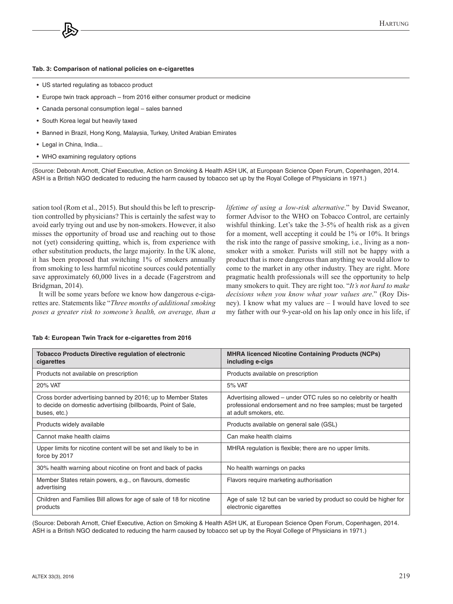#### **Tab. 3: Comparison of national policies on e-cigarettes**

- US started regulating as tobacco product
- Europe twin track approach from 2016 either consumer product or medicine
- Canada personal consumption legal sales banned
- South Korea legal but heavily taxed
- Banned in Brazil, Hong Kong, Malaysia, Turkey, United Arabian Emirates
- Legal in China, India...
- WHO examining regulatory options

(Source: Deborah Arnott, Chief Executive, Action on Smoking & Health ASH UK, at European Science Open Forum, Copenhagen, 2014. ASH is a British NGO dedicated to reducing the harm caused by tobacco set up by the Royal College of Physicians in 1971.)

sation tool (Rom et al., 2015). But should this be left to prescription controlled by physicians? This is certainly the safest way to avoid early trying out and use by non-smokers. However, it also misses the opportunity of broad use and reaching out to those not (yet) considering quitting, which is, from experience with other substitution products, the large majority. In the UK alone, it has been proposed that switching 1% of smokers annually from smoking to less harmful nicotine sources could potentially save approximately 60,000 lives in a decade (Fagerstrom and Bridgman, 2014).

It will be some years before we know how dangerous e-cigarettes are. Statements like "*Three months of additional smoking poses a greater risk to someone's health, on average, than a*  *lifetime of using a low-risk alternative*." by David Sweanor, former Advisor to the WHO on Tobacco Control, are certainly wishful thinking. Let's take the 3-5% of health risk as a given for a moment, well accepting it could be 1% or 10%. It brings the risk into the range of passive smoking, i.e., living as a nonsmoker with a smoker. Purists will still not be happy with a product that is more dangerous than anything we would allow to come to the market in any other industry. They are right. More pragmatic health professionals will see the opportunity to help many smokers to quit. They are right too. "*It's not hard to make decisions when you know what your values are*." (Roy Disney). I know what my values are – I would have loved to see my father with our 9-year-old on his lap only once in his life, if

| <b>Tobacco Products Directive regulation of electronic</b><br>cigarettes                                                                      | <b>MHRA licenced Nicotine Containing Products (NCPs)</b><br>including e-cigs                                                                                |
|-----------------------------------------------------------------------------------------------------------------------------------------------|-------------------------------------------------------------------------------------------------------------------------------------------------------------|
| Products not available on prescription                                                                                                        | Products available on prescription                                                                                                                          |
| 20% VAT                                                                                                                                       | 5% VAT                                                                                                                                                      |
| Cross border advertising banned by 2016; up to Member States<br>to decide on domestic advertising (billboards, Point of Sale,<br>buses, etc.) | Advertising allowed – under OTC rules so no celebrity or health<br>professional endorsement and no free samples; must be targeted<br>at adult smokers, etc. |
| Products widely available                                                                                                                     | Products available on general sale (GSL)                                                                                                                    |
| Cannot make health claims                                                                                                                     | Can make health claims                                                                                                                                      |
| Upper limits for nicotine content will be set and likely to be in<br>force by 2017                                                            | MHRA regulation is flexible; there are no upper limits.                                                                                                     |
| 30% health warning about nicotine on front and back of packs                                                                                  | No health warnings on packs                                                                                                                                 |
| Member States retain powers, e.g., on flavours, domestic<br>advertising                                                                       | Flavors require marketing authorisation                                                                                                                     |
| Children and Families Bill allows for age of sale of 18 for nicotine<br>products                                                              | Age of sale 12 but can be varied by product so could be higher for<br>electronic cigarettes                                                                 |

#### **Tab 4: European Twin Track for e-cigarettes from 2016**

(Source: Deborah Arnott, Chief Executive, Action on Smoking & Health ASH UK, at European Science Open Forum, Copenhagen, 2014. ASH is a British NGO dedicated to reducing the harm caused by tobacco set up by the Royal College of Physicians in 1971.)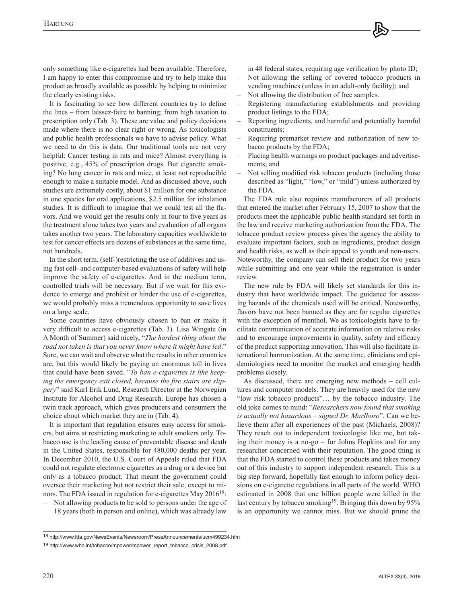only something like e-cigarettes had been available. Therefore, I am happy to enter this compromise and try to help make this product as broadly available as possible by helping to minimize the clearly existing risks.

It is fascinating to see how different countries try to define the lines – from laissez-faire to banning; from high taxation to prescription only (Tab. 3). These are value and policy decisions made where there is no clear right or wrong. As toxicologists and public health professionals we have to advise policy. What we need to do this is data. Our traditional tools are not very helpful: Cancer testing in rats and mice? Almost everything is positive, e.g., 45% of prescription drugs. But cigarette smoking? No lung cancer in rats and mice, at least not reproducible enough to make a suitable model. And as discussed above, such studies are extremely costly, about \$1 million for one substance in one species for oral applications, \$2.5 million for inhalation studies. It is difficult to imagine that we could test all the flavors. And we would get the results only in four to five years as the treatment alone takes two years and evaluation of all organs takes another two years. The laboratory capacities worldwide to test for cancer effects are dozens of substances at the same time, not hundreds.

In the short term, (self-)restricting the use of additives and using fast cell- and computer-based evaluations of safety will help improve the safety of e-cigarettes. And in the medium term, controlled trials will be necessary. But if we wait for this evidence to emerge and prohibit or hinder the use of e-cigarettes, we would probably miss a tremendous opportunity to save lives on a large scale.

Some countries have obviously chosen to ban or make it very difficult to access e-cigarettes (Tab. 3). Lisa Wingate (in A Month of Summer) said nicely, "*The hardest thing about the road not taken is that you never know where it might have led*." Sure, we can wait and observe what the results in other countries are, but this would likely be paying an enormous toll in lives that could have been saved. "*To ban e-cigarettes is like keeping the emergency exit closed, because the fire stairs are slippery*" said Karl Erik Lund, Research Director at the Norwegian Institute for Alcohol and Drug Research. Europe has chosen a twin track approach, which gives producers and consumers the choice about which market they are in (Tab. 4).

It is important that regulation ensures easy access for smokers, but aims at restricting marketing to adult smokers only. Tobacco use is the leading cause of preventable disease and death in the United States, responsible for 480,000 deaths per year. In December 2010, the U.S. Court of Appeals ruled that FDA could not regulate electronic cigarettes as a drug or a device but only as a tobacco product. That meant the government could oversee their marketing but not restrict their sale, except to minors. The FDA issued in regulation for e-cigarettes May 201618:

– Not allowing products to be sold to persons under the age of 18 years (both in person and online), which was already law

in 48 federal states, requiring age verification by photo ID;

- Not allowing the selling of covered tobacco products in vending machines (unless in an adult-only facility); and
- Not allowing the distribution of free samples.
- Registering manufacturing establishments and providing product listings to the FDA;
- Reporting ingredients, and harmful and potentially harmful constituents;
- Requiring premarket review and authorization of new tobacco products by the FDA;
- Placing health warnings on product packages and advertisements; and
- Not selling modified risk tobacco products (including those described as "light," "low," or "mild") unless authorized by the FDA.

The FDA rule also requires manufacturers of all products that entered the market after February 15, 2007 to show that the products meet the applicable public health standard set forth in the law and receive marketing authorization from the FDA. The tobacco product review process gives the agency the ability to evaluate important factors, such as ingredients, product design and health risks, as well as their appeal to youth and non-users. Noteworthy, the company can sell their product for two years while submitting and one year while the registration is under review.

The new rule by FDA will likely set standards for this industry that have worldwide impact. The guidance for assessing hazards of the chemicals used will be critical. Noteworthy, flavors have not been banned as they are for regular cigarettes with the exception of menthol. We as toxicologists have to facilitate communication of accurate information on relative risks and to encourage improvements in quality, safety and efficacy of the product supporting innovation. This will also facilitate international harmonization. At the same time, clinicians and epidemiologists need to monitor the market and emerging health problems closely.

As discussed, there are emerging new methods – cell cultures and computer models. They are heavily used for the new "low risk tobacco products"… by the tobacco industry. The old joke comes to mind: "*Researchers now found that smoking is actually not hazardous – signed Dr. Marlboro*". Can we believe them after all experiences of the past (Michaels, 2008)? They reach out to independent toxicologist like me, but taking their money is a no-go – for Johns Hopkins and for any researcher concerned with their reputation. The good thing is that the FDA started to control these products and takes money out of this industry to support independent research. This is a big step forward, hopefully fast enough to inform policy decisions on e-cigarette regulations in all parts of the world. WHO estimated in 2008 that one billion people were killed in the last century by tobacco smoking<sup>19</sup>. Bringing this down by 95% is an opportunity we cannot miss. But we should prune the

<sup>18</sup><http://www.fda.gov/NewsEvents/Newsroom/PressAnnouncements/ucm499234.htm>

<sup>19</sup> [http://www.who.int/tobacco/mpower/mpower\\_report\\_tobacco\\_crisis\\_2008.pdf](http://www.who.int/tobacco/mpower/mpower_report_tobacco_crisis_2008.pdf)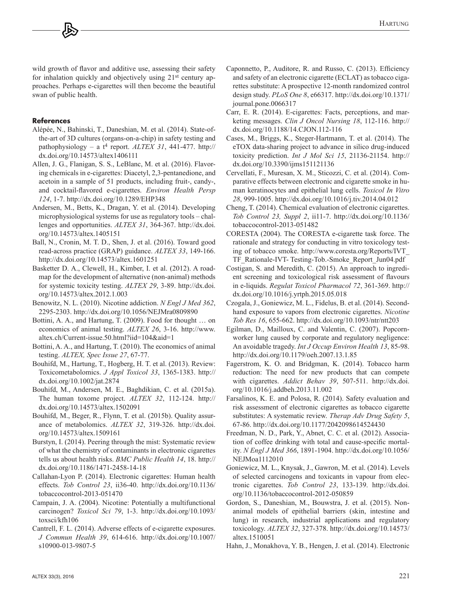wild growth of flavor and additive use, assessing their safety for inhalation quickly and objectively using 21st century approaches. Perhaps e-cigarettes will then become the beautiful swan of public health.

## **References**

- Alépée, N., Bahinski, T., Daneshian, M. et al. (2014). State-ofthe-art of 3D cultures (organs-on-a-chip) in safety testing and pathophysiology – a  $t^4$  report. *ALTEX 31*, 441-477. [http://](http://dx.doi.org/10.14573/altex1406111) [dx.doi.org/10.14573/altex1406111](http://dx.doi.org/10.14573/altex1406111)
- Allen, J. G., Flanigan, S. S., LeBlanc, M. et al. (2016). Flavoring chemicals in e-cigarettes: Diacetyl, 2,3-pentanedione, and acetoin in a sample of 51 products, including fruit-, candy-, and cocktail-flavored e-cigarettes. *Environ Health Persp 124*, 1-7. <http://dx.doi.org/10.1289/EHP348>
- Andersen, M., Betts, K., Dragan, Y. et al. (2014). Developing microphysiological systems for use as regulatory tools – challenges and opportunities. *ALTEX 31*, 364-367. [http://dx.doi.](http://dx.doi.org/10.14573/altex.1405151) [org/10.14573/altex.1405151](http://dx.doi.org/10.14573/altex.1405151)
- Ball, N., Cronin, M. T. D., Shen, J. et al. (2016). Toward good read-across practice (GRAP) guidance. *ALTEX 33*, 149-166. <http://dx.doi.org/10.14573/altex.1601251>
- Basketter D. A., Clewell, H., Kimber, I. et al. (2012). A roadmap for the development of alternative (non-animal) methods for systemic toxicity testing. *ALTEX 29*, 3-89. [http://dx.doi.](http://dx.doi.org/10.14573/altex.2012.1.003) [org/10.14573/altex.2012.1.003](http://dx.doi.org/10.14573/altex.2012.1.003)
- Benowitz, N. L. (2010). Nicotine addiction. *N Engl J Med 362*, 2295-2303. <http://dx.doi.org/10.1056/NEJMra0809890>
- Bottini, A. A., and Hartung, T. (2009). Food for thought … on economics of animal testing. *ALTEX 26*[, 3-16. http://www.](http://www.altex.ch/Current-issue.50.html?iid=104&aid=1) [altex.ch/Current-issue.50.html?iid=104&aid=1](http://www.altex.ch/Current-issue.50.html?iid=104&aid=1)
- Bottini, A. A., and Hartung, T. (2010). The economics of animal testing. *ALTEX, Spec Issue 27*, 67-77.
- Bouhifd, M., Hartung, T., Hogberg, H. T. et al. (2013). Review: Toxicometabolomics. *J Appl Toxicol 33*, 1365-1383. [http://](http://dx.doi.org/10.1002/jat.2874) [dx.doi.org/10.1002/jat.2874](http://dx.doi.org/10.1002/jat.2874)
- Bouhifd, M., Andersen, M. E., Baghdikian, C. et al. (2015a). The human toxome project. *ALTEX 32*, 112-124. [http://](http://dx.doi.org/10.14573/altex.1502091) [dx.doi.org/10.14573/altex.1502091](http://dx.doi.org/10.14573/altex.1502091)
- Bouhifd, M., Beger, R., Flynn, T. et al. (2015b). Quality assurance of metabolomics. *ALTEX 32*, 319-326. [http://dx.doi.](http://dx.doi.org/10.14573/altex.1509161) [org/10.14573/altex.1509161](http://dx.doi.org/10.14573/altex.1509161)
- Burstyn, I. (2014). Peering through the mist: Systematic review of what the chemistry of contaminants in electronic cigarettes tells us about health risks. *BMC Public Health 14*, 18. [http://](http://dx.doi.org/10.1186/1471-2458-14-18) [dx.doi.org/10.1186/1471-2458-14-18](http://dx.doi.org/10.1186/1471-2458-14-18)
- Callahan-Lyon P. (2014). Electronic cigarettes: Human health effects. *Tob Control 23*, ii36-40. [http://dx.doi.org/10.1136/](http://dx.doi.org/10.1136/tobaccocontrol-2013-051470) [tobaccocontrol-2013-051470](http://dx.doi.org/10.1136/tobaccocontrol-2013-051470)
- Campain, J. A. (2004). Nicotine: Potentially a multifunctional carcinogen? *Toxicol Sci 79*, 1-3. [http://dx.doi.org/10.1093/](http://dx.doi.org/10.1093/toxsci/kfh106) [toxsci/kfh106](http://dx.doi.org/10.1093/toxsci/kfh106)
- Cantrell, F. L. (2014). Adverse effects of e-cigarette exposures. *J Commun Health 39*[, 614-616. http://dx.doi.org/10.1007/](http://dx.doi.org/10.1007/s10900-013-9807-5) s10900-013-9807-5
- Caponnetto, P., Auditore, R. and Russo, C. (2013). Efficiency and safety of an electronic cigarette (ECLAT) as tobacco cigarettes substitute: A prospective 12-month randomized control design study. *PLoS One 8*, e66317. [http://dx.doi.org/10.1371/](http://dx.doi.org/10.1371/journal.pone.0066317) [journal.pone.0066317](http://dx.doi.org/10.1371/journal.pone.0066317)
- Carr, E. R. (2014). E-cigarettes: Facts, perceptions, and marketing messages. *Clin J Oncol Nursing 18*, 112-116. [http://](http://dx.doi.org/10.1188/14.CJON.112-116) [dx.doi.org/10.1188/14.CJON.112-116](http://dx.doi.org/10.1188/14.CJON.112-116)
- Cases, M., Briggs, K., Steger-Hartmann, T. et al. (2014). The eTOX data-sharing project to advance in silico drug-induced toxicity prediction. *Int J Mol Sci 15*, 21136-21154. [http://](http://dx.doi.org/10.3390/ijms151121136) [dx.doi.org/10.3390/ijms151121136](http://dx.doi.org/10.3390/ijms151121136)
- Cervellati, F., Muresan, X. M., Sticozzi, C. et al. (2014). Comparative effects between electronic and cigarette smoke in human keratinocytes and epithelial lung cells. *Toxicol In Vitro 28*, 999-1005. <http://dx.doi.org/10.1016/j.tiv.2014.04.012>
- Cheng, T. (2014). Chemical evaluation of electronic cigarettes. *Tob Control 23, Suppl 2*, ii11-7. [http://dx.doi.org/10.1136/](http://dx.doi.org/10.1136/tobaccocontrol-2013-051482) [tobaccocontrol-2013-051482](http://dx.doi.org/10.1136/tobaccocontrol-2013-051482)
- CORESTA (2004). The CORESTA e-cigarette task force. The rationale and strategy for conducting in vitro toxicology testing of tobacco smoke. [http://www.coresta.org/Reports/IVT\\_](http://www.coresta.org/Reports/IVT_TF_Rationale-IVT-Testing-Tob.-Smoke_Report_Jun04.pdf) [TF\\_Rationale-IVT- Testing-Tob.-Smoke\\_Report\\_Jun04.pdf](http://www.coresta.org/Reports/IVT_TF_Rationale-IVT-Testing-Tob.-Smoke_Report_Jun04.pdf)
- Costigan, S. and Meredith, C. (2015). An approach to ingredient screening and toxicological risk assessment of flavours in e-liquids. *Regulat Toxicol Pharmacol 72*, 361-369. [http://](http://dx.doi.org/10.1016/j.yrtph.2015.05.018) [dx.doi.org/10.1016/j.yrtph.2015.05.018](http://dx.doi.org/10.1016/j.yrtph.2015.05.018)
- Czogala, J., Goniewicz, M. L., Fidelus, B. et al. (2014). Secondhand exposure to vapors from electronic cigarettes. *Nicotine Tob Res 16*, 655-662.<http://dx.doi.org/10.1093/ntr/ntt203>
- Egilman, D., Mailloux, C. and Valentin, C. (2007). Popcornworker lung caused by corporate and regulatory negligence: An avoidable tragedy. *Int J Occup Environ Health 13*, 85-98. <http://dx.doi.org/10.1179/oeh.2007.13.1.85>
- Fagerstrom, K. O. and Bridgman, K. (2014). Tobacco harm reduction: The need for new products that can compete with cigarettes. *Addict Behav 39*, 507-511. [http://dx.doi.](http://dx.doi.org/10.1016/j.addbeh.2013.11.002) [org/10.1016/j.addbeh.2013.11.002](http://dx.doi.org/10.1016/j.addbeh.2013.11.002)
- Farsalinos, K. E. and Polosa, R. (2014). Safety evaluation and risk assessment of electronic cigarettes as tobacco cigarette substitutes: A systematic review. *Therap Adv Drug Safety 5*, 67-86.<http://dx.doi.org/10.1177/2042098614524430>
- Freedman, N. D., Park, Y., Abnet, C. C. et al. (2012). Association of coffee drinking with total and cause-specific mortality. *N Engl J Med 366*, 1891-1904. [http://dx.doi.org/10.1056/](http://dx.doi.org/10.1056/NEJMoa1112010) [NEJMoa1112010](http://dx.doi.org/10.1056/NEJMoa1112010)
- Goniewicz, M. L., Knysak, J., Gawron, M. et al. (2014). Levels of selected carcinogens and toxicants in vapour from electronic cigarettes. *Tob Control 23*, 133-139. [http://dx.doi.](http://dx.doi.org/10.1136/tobaccocontrol-2012-050859) [org/10.1136/tobaccocontrol-2012-050859](http://dx.doi.org/10.1136/tobaccocontrol-2012-050859)
- Gordon, S., Daneshian, M., Bouwstra, J. et al. (2015). Nonanimal models of epithelial barriers (skin, intestine and lung) in research, industrial applications and regulatory toxicology. *ALTEX 32*, 327-378. [http://dx.doi.org/10.14573/](http://dx.doi.org/10.14573/altex.1510051) [altex.1510051](http://dx.doi.org/10.14573/altex.1510051)
- Hahn, J., Monakhova, Y. B., Hengen, J. et al. (2014). Electronic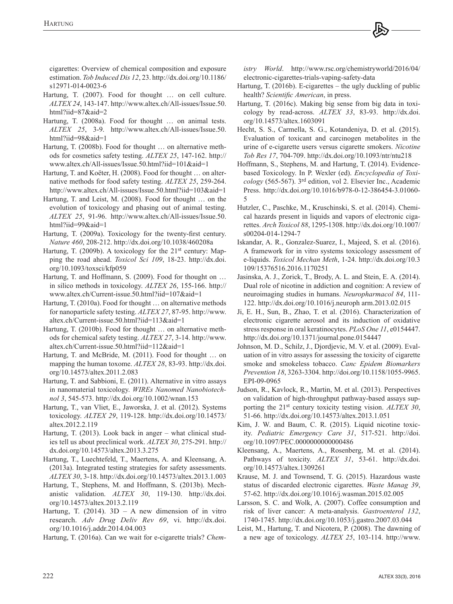cigarettes: Overview of chemical composition and exposure estimation. *Tob Induced Dis 12*, 23. [http://dx.doi.org/10.1186/](http://dx.doi.org/10.1186/s12971-014-0023-6) [s12971-014-0023-6](http://dx.doi.org/10.1186/s12971-014-0023-6)

- Hartung, T. (2007). Food for thought … on cell culture. *ALTEX 24*, 143-147. [http://www.altex.ch/All-issues/Issue.50.](http://www.altex.ch/All-issues/Issue.50.html?iid=87&aid=2) [html?iid=87&aid=2](http://www.altex.ch/All-issues/Issue.50.html?iid=87&aid=2)
- Hartung, T. (2008a). Food for thought … on animal tests. *ALTEX 25*, 3-9. [http://www.altex.ch/All-issues/Issue.50.](http://www.altex.ch/All-issues/Issue.50.html?iid=98&aid=1) [html?iid=98&aid=1](http://www.altex.ch/All-issues/Issue.50.html?iid=98&aid=1)
- Hartung, T. (2008b). Food for thought … on alternative methods for cosmetics safety testing. *ALTEX 25*, 147-162. [http://](http://www.altex.ch/All-issues/Issue.50.html?iid=101&aid=1) [www.altex.ch/All-issues/Issue.50.html?iid=101&aid=1](http://www.altex.ch/All-issues/Issue.50.html?iid=101&aid=1)
- Hartung, T. and Koëter, H. (2008). Food for thought … on alternative methods for food safety testing. *ALTEX 25*, 259-264. <http://www.altex.ch/All-issues/Issue.50.html?iid=103&aid=1>
- Hartung, T. and Leist, M. (2008). Food for thought … on the evolution of toxicology and phasing out of animal testing. *ALTEX 25*, 91-96. [http://www.altex.ch/All-issues/Issue.50.](http://www.altex.ch/All-issues/Issue.50.html?iid=99&aid=1) [html?iid=99&aid=1](http://www.altex.ch/All-issues/Issue.50.html?iid=99&aid=1)
- Hartung, T. (2009a). Toxicology for the twenty-first century. *Nature 460*, 208-212. <http://dx.doi.org/10.1038/460208a>
- Hartung, T. (2009b). A toxicology for the 21<sup>st</sup> century: Mapping the road ahead. *Toxicol Sci 109*, 18-23. [http://dx.doi.](http://dx.doi.org/10.1093/toxsci/kfp059) [org/10.1093/toxsci/kfp059](http://dx.doi.org/10.1093/toxsci/kfp059)
- Hartung, T. and Hoffmann, S. (2009). Food for thought on … in silico methods in toxicology. *ALTEX 26*, 155-166. [http://](http://www.altex.ch/Current-issue.50.html?iid=107&aid=1) [www.altex.ch/Current-issue.50.html?iid=107&aid=1](http://www.altex.ch/Current-issue.50.html?iid=107&aid=1)
- Hartung, T. (2010a). Food for thought … on alternative methods for nanoparticle safety testing. *ALTEX 27*, 87-95. [http://www.](http://www.altex.ch/Current-issue.50.html?iid=113&aid=1) [altex.ch/Current-issue.50.html?iid=113&aid=1](http://www.altex.ch/Current-issue.50.html?iid=113&aid=1)
- Hartung, T. (2010b). Food for thought … on alternative methods for chemical safety testing. *ALTEX 27*, 3-14. [http://www.](http://www.altex.ch/Current-issue.50.html?iid=112&aid=1) [altex.ch/Current-issue.50.html?iid=112&aid=1](http://www.altex.ch/Current-issue.50.html?iid=112&aid=1)
- Hartung, T. and McBride, M. (2011). Food for thought … on mapping the human toxome. *ALTEX 28*, 83-93. [http://dx.doi.](http://dx.doi.org/10.14573/altex.2011.2.083) [org/10.14573/altex.2011.2.083](http://dx.doi.org/10.14573/altex.2011.2.083)
- Hartung, T. and Sabbioni, E. (2011). Alternative in vitro assays in nanomaterial toxicology. *WIREs Nanomed Nanobiotechnol 3*, 545-573.<http://dx.doi.org/10.1002/wnan.153>
- Hartung, T., van Vliet, E., Jaworska, J. et al. (2012). Systems toxicology. *ALTEX 29*, 119-128. [http://dx.doi.org/10.14573/](http://dx.doi.org/10.14573/altex.2012.2.119) [altex.2012.2.119](http://dx.doi.org/10.14573/altex.2012.2.119)
- Hartung, T. (2013). Look back in anger what clinical studies tell us about preclinical work. *ALTEX 30*, 275-291. [http://](http://dx.doi.org/10.14573/altex.2013.3.275) [dx.doi.org/10.14573/altex.2013.3.275](http://dx.doi.org/10.14573/altex.2013.3.275)
- Hartung, T., Luechtefeld, T., Maertens, A. and Kleensang, A. (2013a). Integrated testing strategies for safety assessments. *ALTEX 30*, 3-18. <http://dx.doi.org/10.14573/altex.2013.1.003>
- Hartung, T., Stephens, M. and Hoffmann, S. (2013b). Mechanistic validation. *ALTEX 30*, 119-130. [http://dx.doi.](http://dx.doi.org/10.14573/altex.2013.2.119) [org/10.14573/altex.2013.2.119](http://dx.doi.org/10.14573/altex.2013.2.119)
- Hartung, T.  $(2014)$ .  $3D A$  new dimension of in vitro research. *Adv Drug Deliv Rev 69*, vi. [http://dx.doi.](http://dx.doi.org/10.1016/j.addr.2014.04.003) [org/10.1016/j.addr.2014.04.003](http://dx.doi.org/10.1016/j.addr.2014.04.003)

Hartung, T. (2016a). Can we wait for e-cigarette trials? *Chem-*

*istry World*. [http://www.rsc.org/chemistryworld/2016/04/](http://www.rsc.org/chemistryworld/2016/04/electronic-cigarettes-trials-vaping-safety-data) [electronic-cigarettes-trials-vaping-safety-data](http://www.rsc.org/chemistryworld/2016/04/electronic-cigarettes-trials-vaping-safety-data)

- Hartung, T. (2016b). E-cigarettes the ugly duckling of public health? *Scientific American*, in press.
- Hartung, T. (2016c). Making big sense from big data in toxicology by read-across. *ALTEX 33*, 83-93. [http://dx.doi.](http://dx.doi.org/10.14573/altex.1603091) [org/10.14573/altex.1603091](http://dx.doi.org/10.14573/altex.1603091)
- Hecht, S. S., Carmella, S. G., Kotandeniya, D. et al. (2015). Evaluation of toxicant and carcinogen metabolites in the urine of e-cigarette users versus cigarette smokers. *Nicotine Tob Res 17*, 704-709.<http://dx.doi.org/10.1093/ntr/ntu218>
- Hoffmann, S., Stephens, M. and Hartung, T. (2014). Evidencebased Toxicology. In P. Wexler (ed). *Encyclopedia of Toxicology* (565-567). 3rd edition, vol 2. Elsevier Inc., Academic Press. [http://dx.doi.org/10.1016/b978-0-12-386454-3.01060-](http://dx.doi.org/10.1016/b978-0-12-386454-3.01060-5) [5](http://dx.doi.org/10.1016/b978-0-12-386454-3.01060-5)
- Hutzler, C., Paschke, M., Kruschinski, S. et al. (2014). Chemical hazards present in liquids and vapors of electronic cigarettes. *Arch Toxicol 88*, 1295-1308. [http://dx.doi.org/10.1007/](http://dx.doi.org/10.1007/s00204-014-1294-7) [s00204-014-1294-7](http://dx.doi.org/10.1007/s00204-014-1294-7)
- Iskandar, A. R., Gonzalez-Suarez, I., Majeed, S. et al. (2016). A framework for in vitro systems toxicology assessment of e-liquids. *Toxicol Mechan Meth*, 1-24. [http://dx.doi.org/10.](http://dx.doi.org/10.3109/15376516.2016.1170251)3 [109/15376516.2016.1170251](http://dx.doi.org/10.3109/15376516.2016.1170251)
- Jasinska, A. J., Zorick, T., Brody, A. L. and Stein, E. A. (2014). Dual role of nicotine in addiction and cognition: A review of neuroimaging studies in humans. *Neuropharmacol 84*, 111- 122. [http://dx.doi.org/10.1016/j.neuroph arm.2013.02.015](http://dx.doi.org/10.1016/j.neuropharm.2013.02.015)
- Ji, E. H., Sun, B., Zhao, T. et al. (2016). Characterization of electronic cigarette aerosol and its induction of oxidative stress response in oral keratinocytes. *PLoS One 11*, e0154447. <http://dx.doi.org/10.1371/journal.pone.0154447>
- Johnson, M. D., Schilz, J., Djordjevic, M. V. et al. (2009). Evaluation of in vitro assays for assessing the toxicity of cigarette smoke and smokeless tobacco. *Canc Epidem Biomarkers Prevention 18*, 3263-3304. [http://doi.org/10.1158/1055-9965.](http://doi.org/10.1158/1055-9965.EPI-09-0965) [EPI-09-0965](http://doi.org/10.1158/1055-9965.EPI-09-0965)
- Judson, R., Kavlock, R., Martin, M. et al. (2013). Perspectives on validation of high-throughput pathway-based assays supporting the 21st century toxicity testing vision. *ALTEX 30*, 51-66.<http://dx.doi.org/10.14573/altex.2013.1.051>
- Kim, J. W. and Baum, C. R. (2015). Liquid nicotine toxicity. *Pediatric Emergency Care 31*, 517-521. [http://doi.](http://doi.org/10.1097/PEC.0000000000000486) [org/10.1097/PEC.0000000000000486](http://doi.org/10.1097/PEC.0000000000000486)
- Kleensang, A., Maertens, A., Rosenberg, M. et al. (2014). Pathways of toxicity. *ALTEX 31*, 53-61. [http://dx.doi.](http://dx.doi.org/10.14573/altex.1309261) [org/10.14573/altex.1309261](http://dx.doi.org/10.14573/altex.1309261)
- Krause, M. J. and Townsend, T. G. (2015). Hazardous waste status of discarded electronic cigarettes. *Waste Manag 39*, 57-62.<http://dx.doi.org/10.1016/j.wasman.2015.02.005>
- Larsson, S. C. and Wolk, A. (2007). Coffee consumption and risk of liver cancer: A meta-analysis. *Gastroenterol 132*, 1740-1745.<http://dx.doi.org/10.1053/j.gastro.2007.03.044>
- Leist, M., Hartung, T. and Nicotera, P. (2008). The dawning of a new age of toxicology. *ALTEX 25*, 103-114. [http://www.](http://www.altex.ch/All-issues/Issue.50.html?iid=99&aid=3)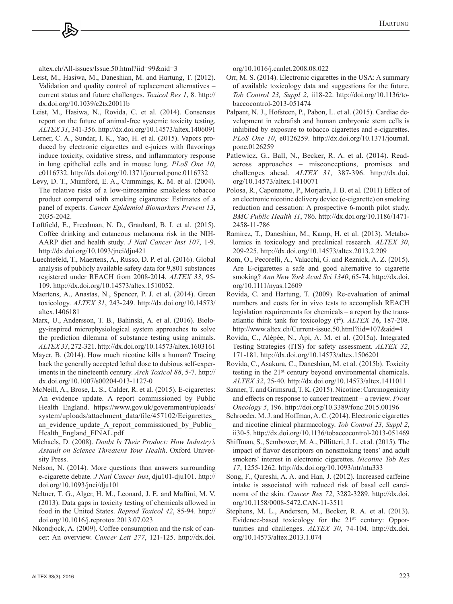[altex.ch/All-issues/Issue.50.html?iid=99&aid=3](http://www.altex.ch/All-issues/Issue.50.html?iid=99&aid=3)

- Leist, M., Hasiwa, M., Daneshian, M. and Hartung, T. (2012). Validation and quality control of replacement alternatives – current status and future challenges. *Toxicol Res 1*, 8. [http://](http://dx.doi.org/10.1039/c2tx20011b) [dx.doi.org/10.1039/c2tx20011b](http://dx.doi.org/10.1039/c2tx20011b)
- Leist, M., Hasiwa, N., Rovida, C. et al. (2014). Consensus report on the future of animal-free systemic toxicity testing. *ALTEX 31*, 341-356.<http://dx.doi.org/10.14573/altex.1406091>
- Lerner, C. A., Sundar, I. K., Yao, H. et al. (2015). Vapors produced by electronic cigarettes and e-juices with flavorings induce toxicity, oxidative stress, and inflammatory response in lung epithelial cells and in mouse lung. *PLoS One 10*, e0116732. <http://dx.doi.org/10.1371/journal.pone.0116732>
- Levy, D. T., Mumford, E. A., Cummings, K. M. et al. (2004). The relative risks of a low-nitrosamine smokeless tobacco product compared with smoking cigarettes: Estimates of a panel of experts. *Cancer Epidemiol Biomarkers Prevent 13*, 2035-2042.
- Loftfield, E., Freedman, N. D., Graubard, B. I. et al. (2015). Coffee drinking and cutaneous melanoma risk in the NIH-AARP diet and health study. *J Natl Cancer Inst 107*, 1-9. <http://dx.doi.org/10.1093/jnci/dju421>
- Luechtefeld, T., Maertens, A., Russo, D. P. et al. (2016). Global analysis of publicly available safety data for 9,801 substances registered under REACH from 2008-2014. *ALTEX 33*, 95- 109. [http://dx.doi.org/10.14573/altex.1510052.](http://dx.doi.org/10.14573/altex.1510052)
- Maertens, A., Anastas, N., Spencer, P. J. et al. (2014). Green toxicology. *ALTEX 31*, 243-249. [http://dx.doi.org/10.14573/](http://dx.doi.org/10.14573/altex.1406181) [altex.1406181](http://dx.doi.org/10.14573/altex.1406181)
- Marx, U., Andersson, T. B., Bahinski, A. et al. (2016). Biology-inspired microphysiological system approaches to solve the prediction dilemma of substance testing using animals. *ALTEX 33*, 272-321.<http://dx.doi.org/10.14573/altex.1603161>
- Mayer, B. (2014). How much nicotine kills a human? Tracing back the generally accepted lethal dose to dubious self-experiments in the nineteenth century. *Arch Toxicol 88*, 5-7. [http://](http://dx.doi.org/10.1007/s00204-013-1127-0) [dx.doi.org/10.1007/s00204-013-1127-0](http://dx.doi.org/10.1007/s00204-013-1127-0)
- McNeill, A., Brose, L. S., Calder, R. et al. (2015). E-cigarettes: An evidence update. A report commissioned by Public Health England. [https://www.gov.uk/government/uploads/](https://www.gov.uk/government/uploads/system/uploads/attachment_data/file/457102/Ecigarettes_an_evidence_update_A_report_commissioned_by_Public_Health_England_FINAL.pdf) system/uploads/attachment\_data/file/457102/Ecigarettes an evidence update A report commissioned by Public [Health\\_England\\_FINAL.pdf](https://www.gov.uk/government/uploads/system/uploads/attachment_data/file/457102/Ecigarettes_an_evidence_update_A_report_commissioned_by_Public_Health_England_FINAL.pdf)
- Michaels, D. (2008). *Doubt Is Their Product: How Industry's Assault on Science Threatens Your Health*. Oxford University Press.
- Nelson, N. (2014). More questions than answers surrounding e-cigarette debate. *J Natl Cancer Inst*, dju101-dju101. [http://](http://doi.org/10.1093/jnci/dju101) [doi.org/10.1093/jnci/dju101](http://doi.org/10.1093/jnci/dju101)
- Neltner, T. G., Alger, H. M., Leonard, J. E. and Maffini, M. V. (2013). Data gaps in toxicity testing of chemicals allowed in food in the United States. *Reprod Toxicol 42*, 85-94. [http://](http://doi.org/10.1016/j.reprotox.2013.07.023) [doi.org/10.1016/j.reprotox.2013.07.023](http://doi.org/10.1016/j.reprotox.2013.07.023)
- Nkondjock, A. (2009). Coffee consumption and the risk of cancer: An overview. *Cancer Lett 277*, 121-1[25. http://dx.doi.](http://dx.doi.org/10.1016/j.canlet.2008.08.022)

[org/10.1016/j.canlet.2008.08.022](http://dx.doi.org/10.1016/j.canlet.2008.08.022)

- Orr, M. S. (2014). Electronic cigarettes in the USA: A summary of available toxicology data and suggestions for the future. *Tob Control 23, Suppl 2*[, ii18-22. h](http://doi.org/10.1136/tobaccocontrol-2013-051474)[ttp://doi.org/10.1136/to](http://doi.org/10.1136/to�baccocontrol-2013-051474)baccocontrol-2013-051474
- Palpant, N. J., Hofsteen, P., Pabon, L. et al. (2015). Cardiac development in zebrafish and human embryonic stem cells is inhibited by exposure to tobacco cigarettes and e-cigarettes. *PLoS One 10*, e0126259. [http://dx.doi.org/10.1371/journal.](http://dx.doi.org/10.1371/journal.pone.0126259) [pone.0126259](http://dx.doi.org/10.1371/journal.pone.0126259)
- Patlewicz, G., Ball, N., Becker, R. A. et al. (2014). Readacross approaches – misconceptions, promises and challenges ahead. *ALTEX 31*, 387-396. [http://dx.doi.](http://dx.doi.org/10.14573/altex.1410071) [org/10.14573/altex.1410071](http://dx.doi.org/10.14573/altex.1410071)
- Polosa, R., Caponnetto, P., Morjaria, J. B. et al. (2011) Effect of an electronic nicotine delivery device (e-cigarette) on smoking reduction and cessation: A prospective 6-month pilot study. *BMC Public Health 11*, 786. [http://dx.doi.org/10.1186/1471-](http://dx.doi.org/10.1186/1471-2458-11-786) [2458-11-786](http://dx.doi.org/10.1186/1471-2458-11-786)
- Ramirez, T., Daneshian, M., Kamp, H. et al. (2013). Metabolomics in toxicology and preclinical research. *ALTEX 30*, 209-225. <http://dx.doi.org/10.14573/altex.2013.2.209>
- Rom, O., Pecorelli, A., Valacchi, G. and Reznick, A. Z. (2015). Are E-cigarettes a safe and good alternative to cigarette smoking? *Ann New York Acad Sci 1340*, 65-74. [http://dx.doi.](http://dx.doi.org/10.1111/nyas.12609) [org/10.1111/nyas.12609](http://dx.doi.org/10.1111/nyas.12609)
- Rovida, C. and Hartung, T. (2009). Re-evaluation of animal numbers and costs for in vivo tests to accomplish REACH legislation requirements for chemicals – a report by the transatlantic think tank for toxicology (t4). *ALTEX 26*, 187-208. <http://www.altex.ch/Current-issue.50.html?iid=107&aid=4>
- Rovida, C., Alépée, N., Api, A. M. et al. (2015a). Integrated Testing Strategies (ITS) for safety assessment. *ALTEX 32*, 171-181. <http://dx.doi.org/10.14573/altex.1506201>
- Rovida, C., Asakura, C., Daneshian, M. et al. (2015b). Toxicity testing in the 21st century beyond environmental chemicals. *ALTEX 32*, 25-40.<http://dx.doi.org/10.14573/altex.1411011>
- Sanner, T. and Grimsrud, T. K. (2015). Nicotine: Carcinogenicity and effects on response to cancer treatment – a review. *Front Oncology 5*, 196. <http://doi.org/10.3389/fonc.2015.00196>
- Schroeder, M. J. and Hoffman, A. C. (2014). Electronic cigarettes and nicotine clinical pharmacology. *Tob Control 23, Suppl 2*, ii30-5.<http://dx.doi.org/10.1136/tobaccocontrol-2013-051469>
- Shiffman, S., Sembower, M. A., Pillitteri, J. L. et al. (2015). The impact of flavor descriptors on nonsmoking teens' and adult smokers' interest in electronic cigarettes. *Nicotine Tob Res 17*, 1255-1262.<http://dx.doi.org/10.1093/ntr/ntu333>
- Song, F., Qureshi, A. A. and Han, J. (2012). Increased caffeine intake is associated with reduced risk of basal cell carcinoma of the skin. *Cancer Res 72*, 3282-3289. [http://dx.doi.](http://dx.doi.org/10.1158/0008-5472.CAN-11-3511) [org/10.1158/0008-5472.CAN-11-3511](http://dx.doi.org/10.1158/0008-5472.CAN-11-3511)
- Stephens, M. L., Andersen, M., Becker, R. A. et al. (2013). Evidence-based toxicology for the 21<sup>st</sup> century: Opportunities and challenges. *ALTEX 30*, 74-104. [http://dx.doi.](http://dx.doi.org/10.14573/altex.2013.1.074) [org/10.14573/altex.2013.1.074](http://dx.doi.org/10.14573/altex.2013.1.074)